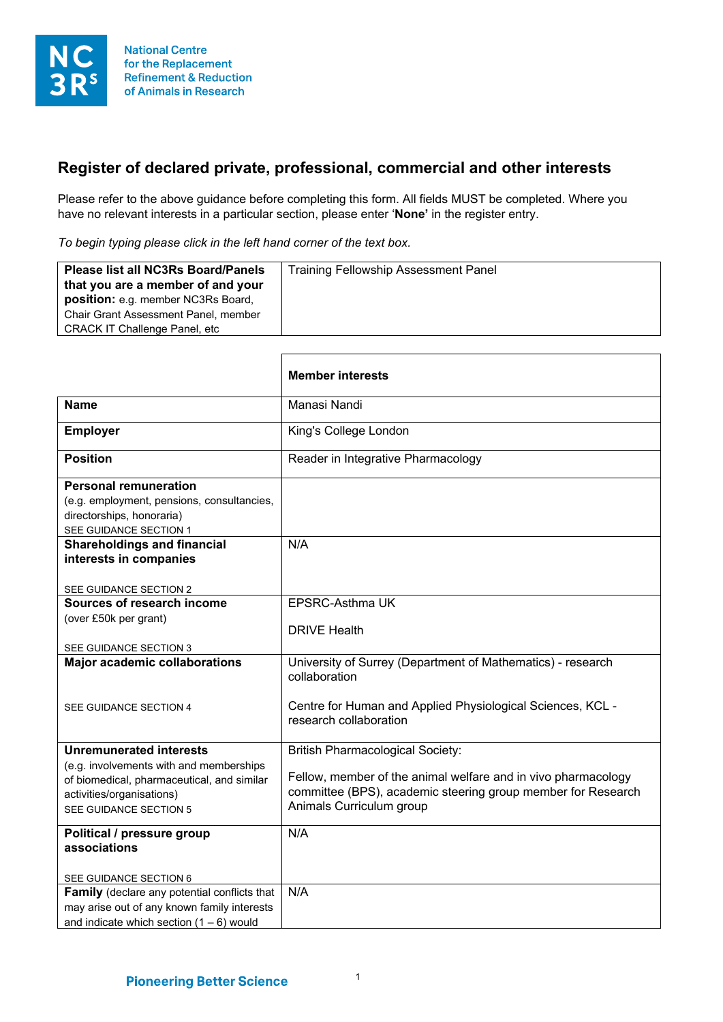

## **Register of declared private, professional, commercial and other interests**

Please refer to the above guidance before completing this form. All fields MUST be completed. Where you have no relevant interests in a particular section, please enter '**None'** in the register entry.

*To begin typing please click in the left hand corner of the text box.*

 $\mathbf{r}$ 

| that you are a member of and your<br>position: e.g. member NC3Rs Board,<br>Chair Grant Assessment Panel, member<br><b>CRACK IT Challenge Panel, etc.</b> |
|----------------------------------------------------------------------------------------------------------------------------------------------------------|
|----------------------------------------------------------------------------------------------------------------------------------------------------------|

|                                                                                                                                                                                | <b>Member interests</b>                                                                                                                                                                              |
|--------------------------------------------------------------------------------------------------------------------------------------------------------------------------------|------------------------------------------------------------------------------------------------------------------------------------------------------------------------------------------------------|
| <b>Name</b>                                                                                                                                                                    | Manasi Nandi                                                                                                                                                                                         |
| <b>Employer</b>                                                                                                                                                                | King's College London                                                                                                                                                                                |
| <b>Position</b>                                                                                                                                                                | Reader in Integrative Pharmacology                                                                                                                                                                   |
| <b>Personal remuneration</b><br>(e.g. employment, pensions, consultancies,<br>directorships, honoraria)<br>SEE GUIDANCE SECTION 1                                              |                                                                                                                                                                                                      |
| <b>Shareholdings and financial</b><br>interests in companies<br>SEE GUIDANCE SECTION 2                                                                                         | N/A                                                                                                                                                                                                  |
| Sources of research income<br>(over £50k per grant)<br>SEE GUIDANCE SECTION 3                                                                                                  | EPSRC-Asthma UK<br><b>DRIVE Health</b>                                                                                                                                                               |
| <b>Major academic collaborations</b><br>SEE GUIDANCE SECTION 4                                                                                                                 | University of Surrey (Department of Mathematics) - research<br>collaboration<br>Centre for Human and Applied Physiological Sciences, KCL -<br>research collaboration                                 |
| <b>Unremunerated interests</b><br>(e.g. involvements with and memberships<br>of biomedical, pharmaceutical, and similar<br>activities/organisations)<br>SEE GUIDANCE SECTION 5 | <b>British Pharmacological Society:</b><br>Fellow, member of the animal welfare and in vivo pharmacology<br>committee (BPS), academic steering group member for Research<br>Animals Curriculum group |
| Political / pressure group<br>associations<br>SEE GUIDANCE SECTION 6<br>Family (declare any potential conflicts that                                                           | N/A<br>N/A                                                                                                                                                                                           |
| may arise out of any known family interests<br>and indicate which section $(1 - 6)$ would                                                                                      |                                                                                                                                                                                                      |